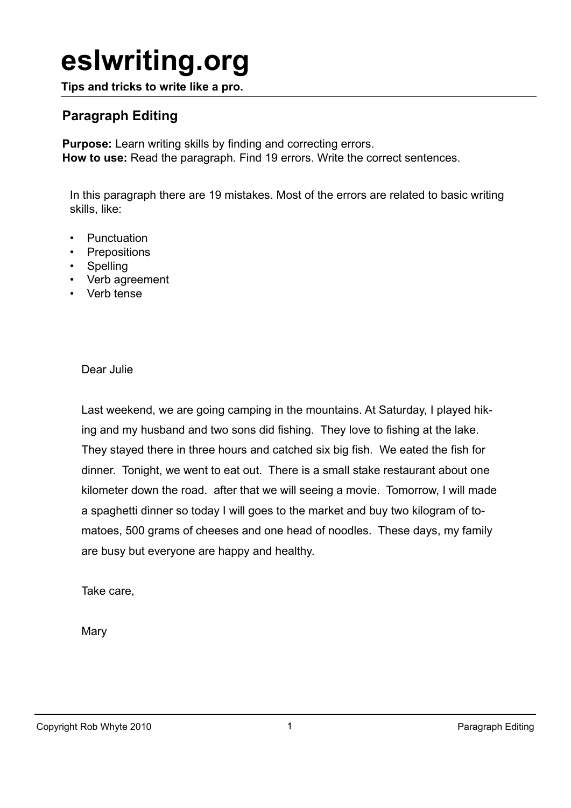# **eslwriting.org**

**Tips and tricks to write like a pro.**

### **Paragraph Editing**

**Purpose:** Learn writing skills by finding and correcting errors. **How to use:** Read the paragraph. Find 19 errors. Write the correct sentences.

In this paragraph there are 19 mistakes. Most of the errors are related to basic writing skills, like:

- Punctuation
- Prepositions
- Spelling
- Verb agreement
- Verb tense

Dear Julie

Last weekend, we are going camping in the mountains. At Saturday, I played hiking and my husband and two sons did fishing. They love to fishing at the lake. They stayed there in three hours and catched six big fish. We eated the fish for dinner. Tonight, we went to eat out. There is a small stake restaurant about one kilometer down the road. after that we will seeing a movie. Tomorrow, I will made a spaghetti dinner so today I will goes to the market and buy two kilogram of tomatoes, 500 grams of cheeses and one head of noodles. These days, my family are busy but everyone are happy and healthy.

Take care,

**Mary**